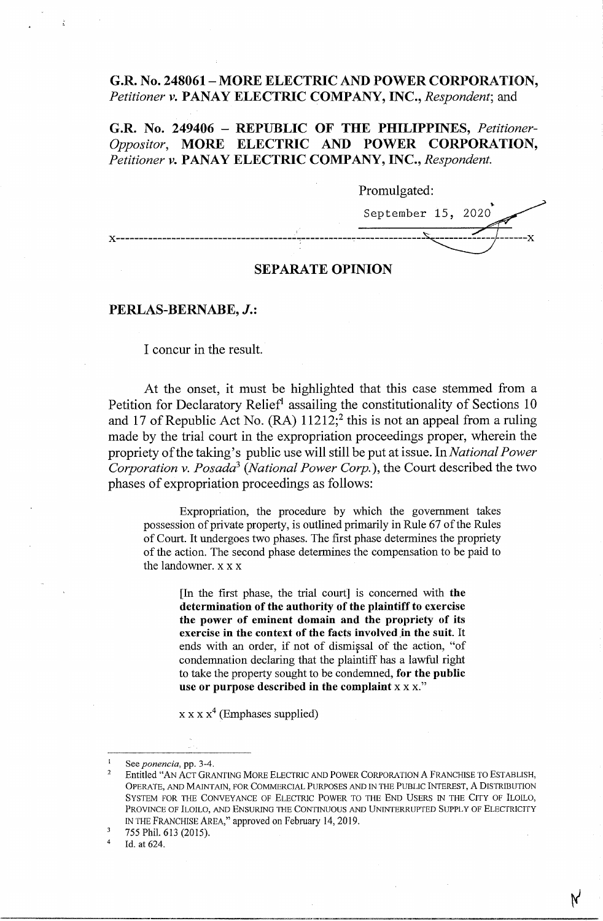# **G.R. No. 248061-MORE ELECTRIC AND POWER CORPORATION,**  *Petitioner v.* **PANAY ELECTRIC COMPANY, INC.,** *Respondent;* and

**G.R. No. 249406** - **REPUBLIC OF THE PHILIPPINES,** *Petitioner-Oppositor,* **MORE ELECTRIC AND POWER CORPORATION,**  *Petitioner v.* **PANAY ELECTRIC COMPANY, INC.,** *Respondent.* 

Promulgated: September 15, 2020 **x---------------------------------------** .-----------.---------------

# **SEPARATE OPINION**

# **PERLAS-BERNABE,** *J.:*

I concur in the result.

At the onset, it must be highlighted that this case stemmed from a Petition for Declaratory Relief<sup>1</sup> assailing the constitutionality of Sections 10 and 17 of Republic Act No.  $(RA)$  11212;<sup>2</sup> this is not an appeal from a ruling made by the trial court in the expropriation proceedings proper, wherein the propriety of the taking's public use will still be put at issue. In *National Power Corporation v. Posada3 (National Power Corp.),* the Court described the two phases of expropriation proceedings as follows:

Expropriation, the procedure by which the government takes possession of private property, is outlined primarily in Rule 67 of the Rules of Court. It undergoes two phases. The first phase determines the propriety of the action. The second phase determines the compensation to be paid to the landowner. x x x

[In the first phase, the trial court] is concerned with **the determination of the authority of the plaintiff to exercise the power of eminent domain and the propriety of its exercise in the context of the facts involved \_in the suit.** It ends with an order, if not of dismissal of the action, "of condemnation declaring that the plaintiff has a lawful right to take the property sought to be condemned, **for the public**  use or purpose described in the complaint **x** x x."

 $x x x x<sup>4</sup>$  (Emphases supplied)

Id. at 624.

<sup>&</sup>lt;sup>1</sup> See *ponencia*, pp. 3-4.<br><sup>2</sup> Entitled "AN ACT GRANTING MORE ELECTRIC AND POWER CORPORATION A FRANCHISE TO ESTABLISH, OPERATE, AND MAINTAIN, FOR COMMERCIAL PURPOSES AND IN THE PUBLIC INTEREST, A DISTRIBUTION SYSTEM FOR THE CONVEYANCE OF ELECTRIC POWER TO THE END USERS IN THE CITY OF ILOILO, PROVINCE OF lLOILO, AND ENSURING THE CONTINUOUS AND UNINTERRUPTED SUPPLY OF ELECTRICITY IN THE FRANCHISE AREA," approved on February 14, 2019.

<sup>3</sup> 755 Phil. 613 (2015).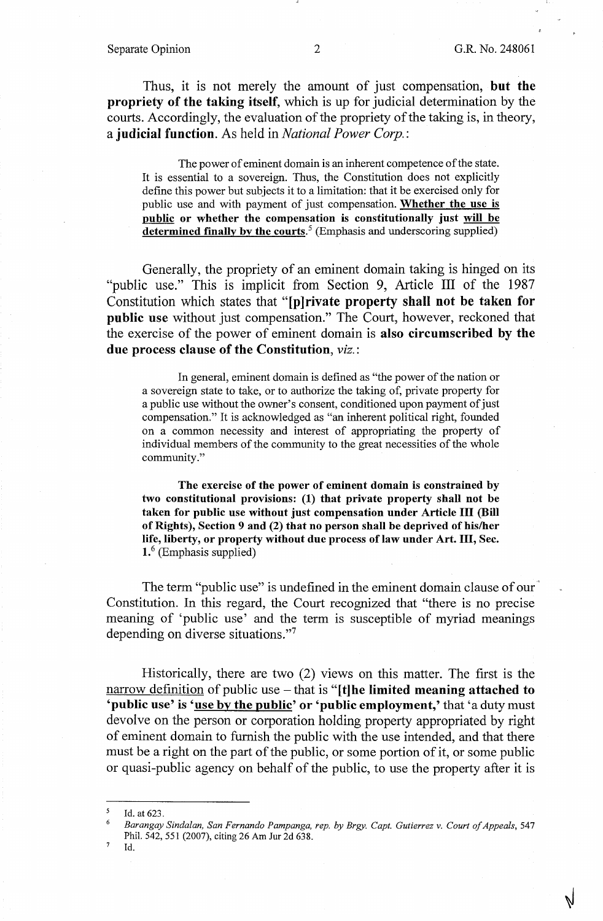Thus, it is not merely the amount of just compensation, **but the propriety of the taking itself,** which is up for judicial determination by the courts. Accordingly, the evaluation of the propriety of the taking is, in theory, a **judicial function.** As held in *National Power Corp.:* 

The power of eminent domain is an inherent competence of the state. It is essential to a sovereign. Thus, the Constitution does not explicitly define this power but subjects it to a limitation: that it be exercised only for public use and with payment of just compensation. **Whether the use is public or whether the compensation is constitutionally just will be**  determined finally by the courts.<sup>5</sup> (Emphasis and underscoring supplied)

Generally, the propriety of an eminent domain taking is hinged on its "public use." This is implicit from Section 9, Article III of the 1987 Constitution which states that **"[p]rivate property shall not be taken for public use** without just compensation." The Court, however, reckoned that the exercise of the power of eminent domain is **also circumscribed by the due process clause of the Constitution,** *viz.:* 

In general, eminent domain is defined as "the power of the nation or a sovereign state to take, or to authorize the taking of, private property for a public use without the owner's consent, conditioned upon payment of just compensation." It is acknowledged as "an inherent political right, founded on a common necessity and interest of appropriating the property of individual members of the community to the great necessities of the whole community."

**The exercise of the power of eminent domain is constrained by two constitutional provisions: (1) that private property shall not be taken for public use without just compensation under Article** III **(Bill of Rights), Section 9 and (2) that no person shall be deprived of his/her life, liberty, or property without due process of law under Art.** III, **Sec. 1.** 6 (Emphasis supplied)

The term "public use" is undefined in the eminent domain clause of our Constitution. In this regard, the Court recognized that "there is no precise meaning of 'public use' and the term is susceptible of myriad meanings depending on diverse situations."<sup>7</sup>

Historically, there are two (2) views on this matter. The first is the narrow definition of public use – that is "[t] he limited meaning attached to 'public use' is 'use by the public' or 'public employment,' that 'a duty must devolve on the person or corporation holding property appropriated by right of eminent domain to furnish the public with the use intended, and that there must be a right on the part of the public, or some portion of it, or some public or quasi-public agency on behalf of the public, to use the property after it is

 $<sup>7</sup>$  Id.</sup>

 $\frac{5}{6}$  Id. at 623.

<sup>6</sup>*Barangay Sindalan, San Fernando Pampanga, rep. by Brgy. Capt. Gutierrez v. Court of Appeals,* 547 Phil. 542,551 (2007), citing 26 Am Jur 2d 638.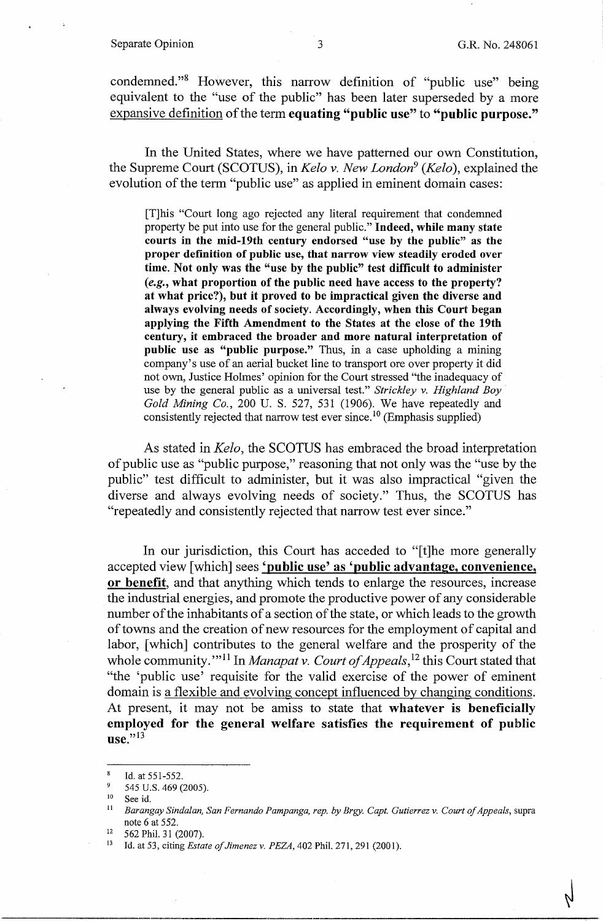condemned."<sup>8</sup> However, this narrow definition of "public use" being equivalent to the "use of the public" has been later superseded by a more expansive definition of the term **equating "public use"** to **"public purpose."** 

In the United States, where we have patterned our own Constitution, the Supreme Court (SCOTUS), in *Kela v. New London9 (Kelo* ), explained the evolution of the term "public use" as applied in eminent domain cases:

[T]his "Court long ago rejected any literal requirement that condemned property be put into use for the general public." **Indeed, while many state courts in the mid-19th century endorsed "use by the public" as the proper definition of public use, that narrow view steadily eroded over time. Not only was the "use by the public" test difficult to administer**  *(e.g.,* **what proportion of the public need have access to the property? at what price?), but it proved to be impractical given the diverse and always evolving needs of society. Accordingly, when this Court began applying the Fifth Amendment to the States at the close of the 19th century, it embraced the broader and more natural interpretation of public use as "public purpose."** Thus, in a case upholding a mining company's use of an aerial bucket line to transport ore over property it did not own, Justice Holmes' opinion for the Court stressed "the inadequacy of use by the general public as a universal test." *Strickley v. Highland Boy Gold Mining Co.,* 200 U. S. 527, 531 (1906). We have repeatedly and consistently rejected that narrow test ever since. 10 (Emphasis supplied)

As stated in *Keio,* the SCOTUS has embraced the broad interpretation of public use as "public purpose," reasoning that not only was the "use by the public" test difficult to administer, but it was also impractical "given the diverse and always evolving needs of society." Thus, the SCOTUS has "repeatedly and consistently rejected that narrow test ever since."

In our jurisdiction, this Court has acceded to "[t]he more generally accepted view [which] sees **'public use' as 'public advantage, convenience, or benefit,** and that anything which tends to enlarge the resources, increase the industrial energies, and promote the productive power of any considerable number of the inhabitants of a section of the state, or which leads to the growth of towns and the creation of new resources for the employment of capital and labor, [which] contributes to the general welfare and the prosperity of the whole community.'"<sup>11</sup> In *Manapat v. Court of Appeals*,<sup>12</sup> this Court stated that "the 'public use' requisite for the valid exercise of the power of eminent domain is a flexible and evolving concept influenced by changing conditions. At present, it may not be amiss to state that **whatever is beneficially employed for the general welfare satisfies the requirement of public use."13** 

 $\frac{8}{9}$  Id. at 551-552.

<sup>545</sup> U.S. 469 (2005).

 $10$  See id.

<sup>11</sup>*Barangay Sindalan, San Fernando Pampanga, rep. by Brgy. Capt. Gutierrez v. Court of Appeals,* supra note 6 at 552.<br><sup>12</sup> 562 Phil. 31 (2007).<br><sup>13</sup> Id. at 53, citing *Estate of Jimenez v. PEZA*, 402 Phil. 271, 291 (2001).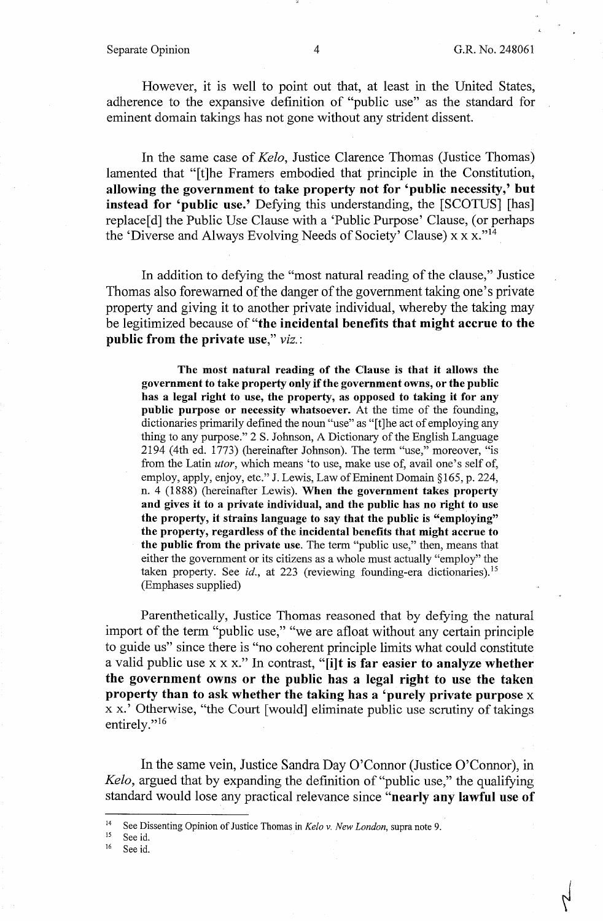#### Separate Opinion  $\begin{array}{ccc} 4 & 4 & \text{G.R. No. 248061} \end{array}$

However, it is well to point out that, at least in the United States, adherence to the expansive definition of "public use" as the standard for eminent domain takings has not gone without any strident dissent.

In the same case of *Kelo,* Justice Clarence Thomas (Justice Thomas) lamented that "[t]he Framers embodied that principle in the Constitution, **allowing the government to take property not for 'public necessity,' but instead for 'public use.'** Defying this understanding, the [SCOTUS] [has] replace[d] the Public Use Clause with a 'Public Purpose' Clause, (or perhaps the 'Diverse and Always Evolving Needs of Society' Clause) x x x.<sup>"14</sup>

In addition to defying the "most natural reading of the clause," Justice Thomas also forewarned of the danger of the government taking one's private property and giving it to another private individual, whereby the taking may be legitimized because of **"the incidental benefits that might accrue to the public from the private use,"** *viz.:* 

**The most natural reading of the Clause is that it allows the government to take property only** if **the government owns, or the public has a legal right to use, the property, as opposed to taking it for any public purpose or necessity whatsoever.** At the time of the founding, dictionaries primarily defined the noun "use" as "[t]he act of employing any thing to any purpose." 2 S. Johnson, A Dictionary of the English Language 2194 (4th ed. 1773) (hereinafter Johnson). The term "use," moreover, "is from the Latin *utor,* which means 'to use, make use of, avail one's self of, employ, apply, enjoy, etc." J. Lewis, Law of Eminent Domain§ 165, p. 224, n. 4 (1888) (hereinafter Lewis). **When the government takes property and gives it to a private individual, and the public has no right to use the property, it strains language to say that the public is "employing" the property, regardless of the incidental benefits that might accrue to the public from the private use.** The term "public use," then, means that either the government or its citizens as a whole must actually "employ" the taken property. See *id.*, at 223 (reviewing founding-era dictionaries).<sup>15</sup> (Emphases supplied)

Parenthetically, Justice Thomas reasoned that by defying the natural import of the term "public use," "we are afloat without any certain principle to guide us" since there is "no coherent principle limits what could constitute a valid public use xx x." In contrast, **"[i]t** is **far easier to analyze whether the government owns or the public has a legal right to use the taken property than to ask whether the taking has a 'purely private purpose** x x x.' Otherwise, "the Court [ would] eliminate public use scrutiny of takings entirely."<sup>16</sup>

In the same vein, Justice Sandra Day O'Connor (Justice O'Connor), in *Kelo,* argued that by expanding the definition of "public use," the qualifying standard would lose any practical relevance since **"nearly any lawful use of** 

<sup>15</sup> See id.<br><sup>16</sup> See id.

See id.

<sup>&</sup>lt;sup>14</sup> See Dissenting Opinion of Justice Thomas in *Kelo v. New London*, supra note 9.<br><sup>15</sup> See id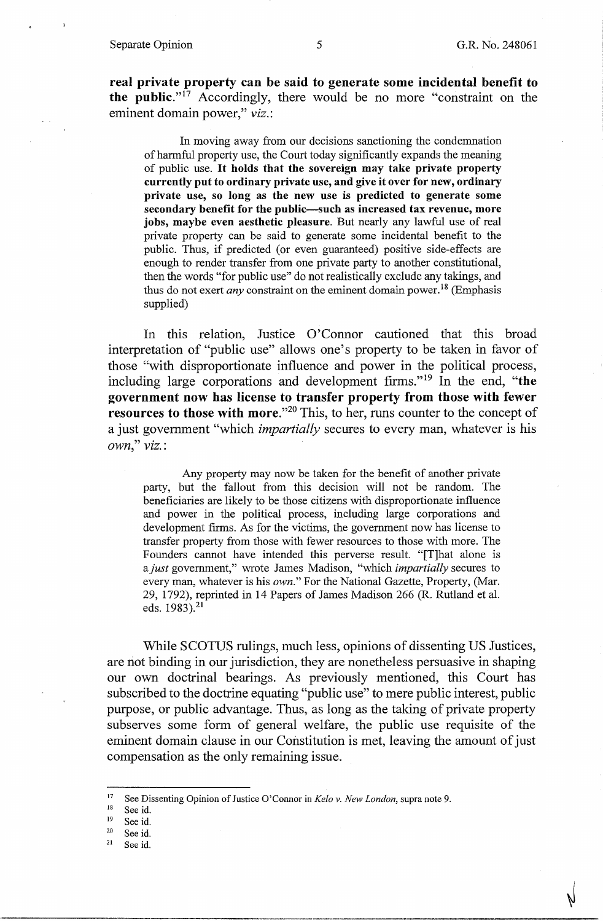**real private property can be said to generate some incidental benefit to the public."**<sup>17</sup> Accordingly, there would be no more "constraint on the eminent domain power," *viz.:* 

In moving away from our decisions sanctioning the condemnation of harmful property use, the Court today significantly expands the meaning of public use. It **holds that the sovereign may take private property currently put to ordinary private use, and give it over for new, ordinary private use, so long as the new use is predicted to generate some secondary benefit for the public-such as increased tax revenue, more jobs, maybe even aesthetic pleasure.** But nearly any lawful use of real private property can be said to generate some incidental benefit to the public. Thus, if predicted ( or even guaranteed) positive side-effects are enough to render transfer from one private party to another constitutional, then the words "for public use" do not realistically exclude any takings, and thus do not exert *any* constraint on the eminent domain power.<sup>18</sup> (Emphasis supplied)

In this relation, Justice O'Connor cautioned that this broad interpretation of "public use" allows one's property to be taken in favor of those "with disproportionate influence and power in the political process, including large corporations and development firms."<sup>19</sup> In the end, "the **government now has license to transfer property from those with fewer resources to those with more."<sup>20</sup> This, to her, runs counter to the concept of** a just goverrunent "which *impartially* secures to every man, whatever is his *own," viz.:* 

Any property may now be taken for the benefit of another private party, but the fallout from this decision will not be random. The beneficiaries are likely to be those citizens with disproportionate influence and power in the political process, including large corporations and development firms. As for the victims, the government now has license to transfer property from those with fewer resources to those with more. The Founders cannot have intended this perverse result. "[T]hat alone is *ajust* government," wrote James Madison, "which *impartially* secures to every man, whatever is his *own."* For the National Gazette, Property, (Mar. 29, 1792), reprinted in 14 Papers of James Madison 266 (R. Rutland et al. eds. 1983).<sup>21</sup>

While SCOTUS rulings, much less, opinions of dissenting US Justices, are not binding in our jurisdiction, they are nonetheless persuasive in shaping our own doctrinal bearings. As previously mentioned, this Court has subscribed to the doctrine equating "public use" to mere public interest, public purpose, or public advantage. Thus, as long as the taking of private property subserves some form of general welfare, the public use requisite of the eminent domain clause in our Constitution is met, leaving the amount of just compensation as the only remaining issue.

<sup>17</sup> See Dissenting Opinion of Justice O'Connor in *Kelo v. New London*, supra note 9.<br><sup>18</sup> See id.<br><sup>19</sup> See id

<sup>&</sup>lt;sup>19</sup> See id.<br><sup>20</sup> See id.<br><sup>21</sup> See id.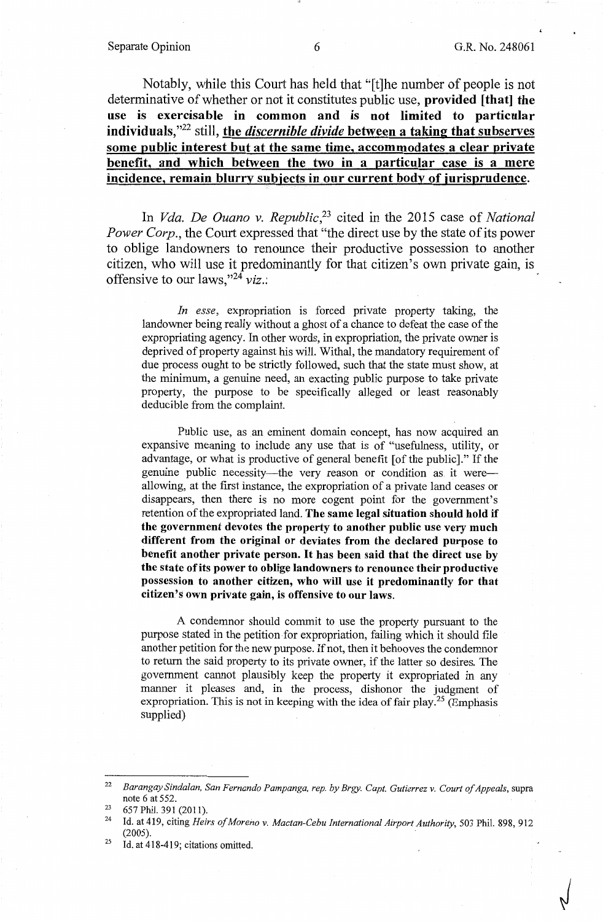#### Separate Opinion 6 G.R. No. 248061

Notably, while this Court has held that "[t]he number of people is not determinative of whether or not it constitutes public use, **provided [that] the use is exercisable in common and is not limited to particular individuals,"<sup>22</sup>**still, **the** *discernible divide* **between a taking that subserves some public interest but at the same time, accommodates a clear private benefit, and which between the two in a particular case is a mere incidence, remain blurry subjects in our current body of jurisprudence.** 

In *Vda. De Ouano v. Republic,23* cited in the 2015 case of *National Power Corp.,* the Court expressed that "the direct use by the state of its power to oblige landowners to renounce their productive possession to another citizen, who will use it predominantly for that citizen's own private gain, is offensive to our laws,"24 *viz.:* 

*In esse,* expropriation is forced private property taking, the landowner being really without a ghost of a chance to defeat the case of the expropriating agency. In other words, in expropriation, the private owner is deprived of property against his will. Withal, the mandatory requirement of due process ought to be strictly followed, such that the state must show, at the minimum, a genuine need, an exacting public purpose to take private property, the purpose to be specifically alleged or least reasonably deducible from the complaint.

Public use, as an eminent domain concept, has now acquired an expansive meaning to include any use that is of "usefulness, utility, or advantage, or what is productive of general benefit [ of the public]." If the genuine public necessity-the very reason or condition as it wereallowing, at the first instance, the expropriation of a private land ceases or disappears, then there is no more cogent point for the government's retention of the expropriated land. **The same legal situation should hold if the government devotes the property to another public use very much different from the original or deviates from the declared purpose to benefit another private person. It has been said that the direct use by the state of its power to oblige landowners to renounce their productive possession to another citizen, who will use it predominantly for that citizen's own private gain, is offensive to our laws.** 

A condemnor should commit to use the property pursuant to the purpose stated in the petition for expropriation, failing which it should file another petition for the new purpose. If not, then it behooves the condemnor to return the said property to its private owner, if the latter so desires. The government cannot plausibly keep the property it expropriated in any manner it pleases and, in the process, dishonor the judgment of expropriation. This is not in keeping with the idea of fair play.<sup>25</sup> (Emphasis supplied)

<sup>25</sup> Id. at  $418-419$ ; citations omitted.

<sup>22</sup>*Barangay Sindalan, San Fernando Pampanga, rep. by Brgy. Capt. Gutierrez v. Court of Appeals,* supra note 6 at 552.<br>
<sup>23</sup> 657 Phil. 391 (2011).<br>
<sup>24</sup> Id. at 419 aiting Hair

<sup>24</sup> Id. at 419, citing *Heirs of Moreno v. Mactan-Cebu International Airport Authority,* 503 Phil. 898, 912 (2005).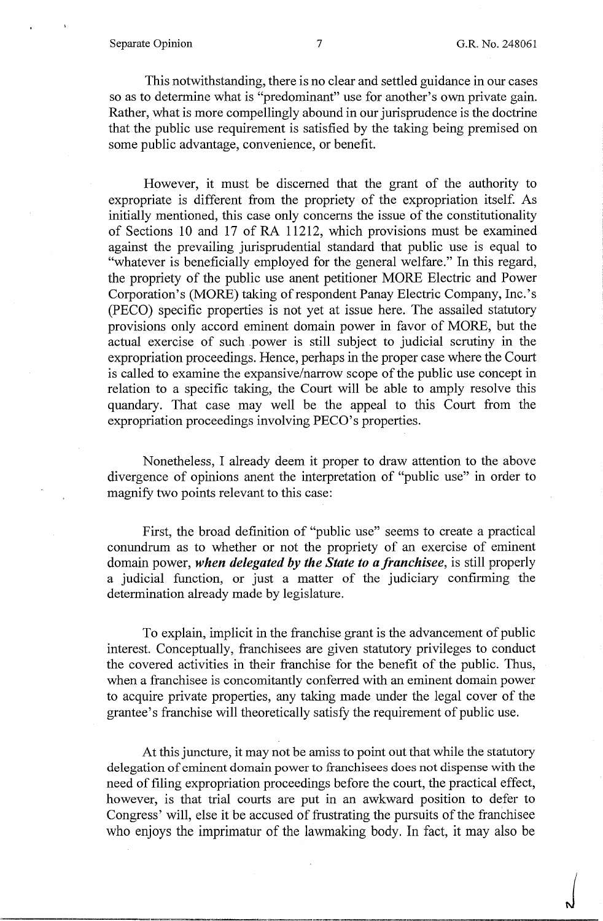### Separate Opinion 7 G.R. No. 248061

 $\int$ 

This notwithstanding, there is no clear and settled guidance in our cases so as to determine what is "predominant" use for another's own private gain. Rather, what is more compellingly abound in our jurisprudence is the doctrine that the public use requirement is satisfied by the taking being premised on some public advantage, convenience, or benefit.

However, it must be discerned that the grant of the authority to expropriate is different from the propriety of the expropriation itself. As initially mentioned, this case only concerns the issue of the constitutionality of Sections 10 and 17 of RA 11212, which provisions must be examined against the prevailing jurisprudential standard that public use is equal to "whatever is beneficially employed for the general welfare." In this regard, the propriety of the public use anent petitioner MORE Electric and Power Corporation's (MORE) taking of respondent Panay Electric Company, Inc.'s (PECO) specific properties is not yet at issue here. The assailed statutory provisions only accord eminent domain power in favor of MORE, but the actual exercise of such .power is still subject to judicial scrutiny in the expropriation proceedings. Hence, perhaps in the proper case where the Court is called to examine the expansive/narrow scope of the public use concept in relation to a specific taking, the Court will be able to amply resolve this quandary. That case may well be the appeal to this Court from the expropriation proceedings involving PECO's properties.

Nonetheless, I already deem it proper to draw attention to the above divergence of opinions anent the interpretation of "public use" in order to magnify two points relevant to this case:

First, the broad definition of "public use" seems to create a practical conundrum as to whether or not the propriety of an exercise of eminent domain power, *when delegated by the State to a franchisee,* is still properly a judicial function, or just a matter of the judiciary confirming the determination already made by legislature.

To explain, implicit in the franchise grant is the advancement of public interest. Conceptually, franchisees are given statutory privileges to conduct the covered activities in their franchise for the benefit of the public. Thus, when a franchisee is concomitantly conferred with an eminent domain power to acquire private properties, any taking made under the legal cover of the grantee's franchise will theoretically satisfy the requirement of public use.

At this juncture, it may not be amiss to point out that while the statutory delegation of eminent domain power to franchisees does not dispense with the need of filing expropriation proceedings before the court, the practical effect, however, is that trial courts are put in an awkward position to defer to Congress' will, else it be accused of frustrating the pursuits of the franchisee who enjoys the imprimatur of the lawmaking body. In fact, it may also be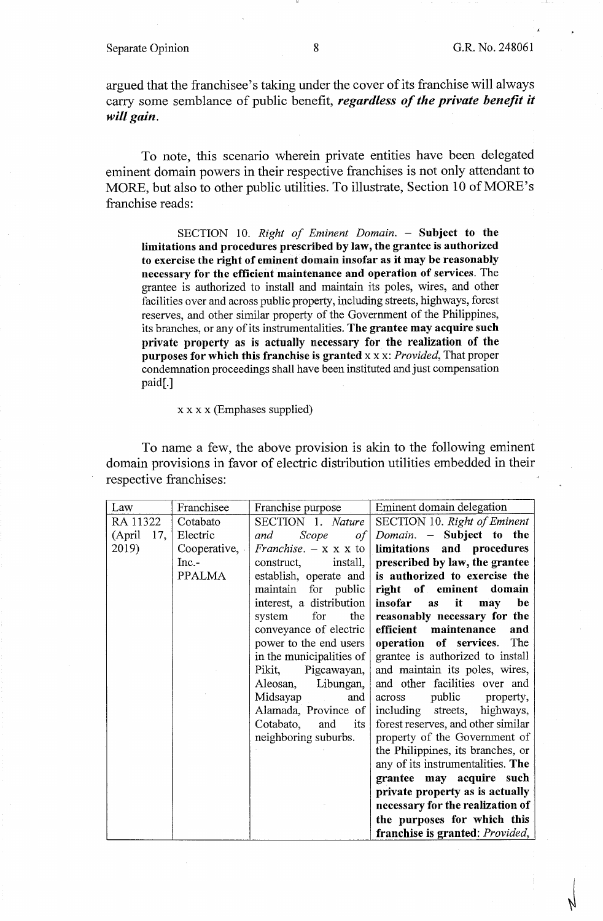argued that the franchisee's taking under the cover of its franchise will always carry some semblance of public benefit, *regardless of the private benefit it will gain.* 

To note, this scenario wherein private entities have been delegated eminent domain powers in their respective franchises is not only attendant to MORE, but also to other public utilities. To illustrate, Section 10 of MORE's franchise reads:

SECTION 10. *Right of Eminent Domain.* - Subject to the **limitations and procedures prescribed by law, the grantee is authorized to exercise the right of eminent domain insofar as it may be reasonably necessary for the efficient maintenance and operation of services.** The grantee is authorized to install and maintain its poles, wires, and other facilities over and across public property, including streets, highways, forest reserves, and other similar property of the Government of the Philippines, its branches, or any of its instrumentalities. **The grantee may acquire such private property as is actually necessary for the realization of the purposes for which this franchise is granted** x x x: *Provided,* That proper condemnation proceedings shall have been instituted and just compensation paid[.]

## x x x x (Emphases supplied)

To name a few, the above provision is akin to the following eminent domain provisions in favor of electric distribution utilities embedded in their respective franchises:

| Law           | Franchisee    | Franchise purpose                | Eminent domain delegation          |
|---------------|---------------|----------------------------------|------------------------------------|
| RA 11322      | Cotabato      | SECTION 1. Nature                | SECTION 10. Right of Eminent       |
| (April<br>17, | Electric      | Scope<br>and<br>of               | Domain. - Subject to the           |
| 2019)         | Cooperative,  | <i>Franchise.</i> $- x x x$ to   | limitations and procedures         |
|               | $Inc -$       | $\{$ install, $\ $<br>construct, | prescribed by law, the grantee     |
|               | <b>PPALMA</b> | establish, operate and           | is authorized to exercise the      |
|               |               | maintain for public              | right of eminent domain            |
|               |               | interest, a distribution         | it<br>be<br>insofar<br>as<br>may   |
|               |               | the<br>for<br>system             | reasonably necessary for the       |
|               |               | conveyance of electric           | efficient maintenance<br>and       |
|               |               | power to the end users           | operation of services.<br>The      |
|               |               | in the municipalities of         | grantee is authorized to install   |
|               |               | Pigcawayan,<br>Pikit,            | and maintain its poles, wires,     |
|               |               | Libungan,<br>Aleosan,            | and other facilities over and      |
|               |               | Midsayap<br>and                  | public property,<br>across         |
|               |               | Alamada, Province of             | streets, highways,<br>including    |
|               |               | Cotabato,<br>its<br>and          | forest reserves, and other similar |
|               |               | neighboring suburbs.             | property of the Government of      |
|               |               |                                  | the Philippines, its branches, or  |
|               |               |                                  | any of its instrumentalities. The  |
|               |               |                                  | grantee may acquire such           |
|               |               |                                  | private property as is actually    |
|               |               |                                  | necessary for the realization of   |
|               |               |                                  | the purposes for which this        |
|               |               |                                  | franchise is granted: Provided,    |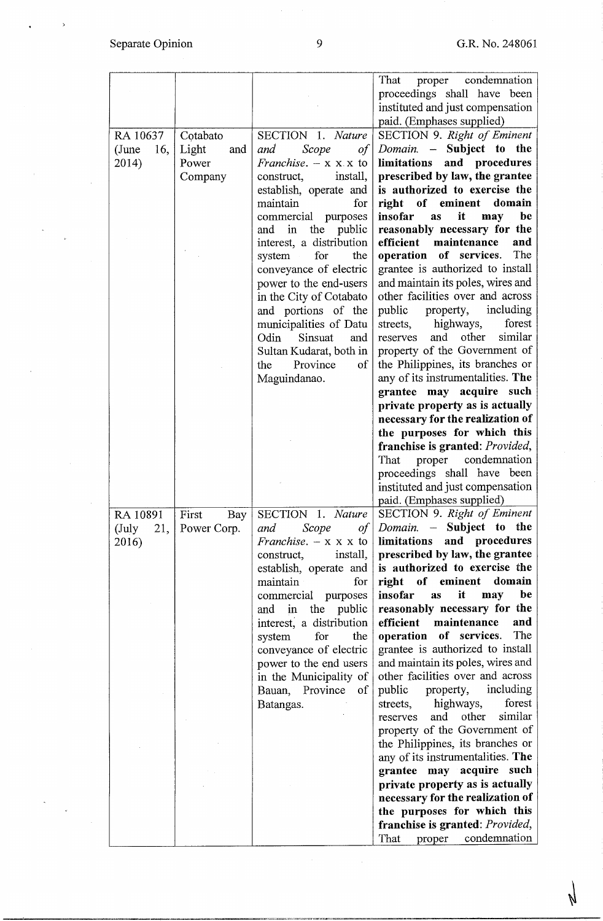$\mathbb{R}^d$ 

 $\frac{1}{2}$ 

Ŋ

|              |              |                                  | proper condemnation<br>That             |
|--------------|--------------|----------------------------------|-----------------------------------------|
|              |              |                                  | proceedings shall have been             |
|              |              |                                  | instituted and just compensation        |
|              |              |                                  | paid. (Emphases supplied)               |
| RA 10637     | Cotabato     | SECTION 1. Nature                | SECTION 9. Right of Eminent             |
| (June<br>16, | Light<br>and | and<br>Scope<br>of               | <i>Domain.</i> $-$ Subject to the       |
| 2014)        | Power        | Franchise. $- x x x$ to          | limitations<br>and procedures           |
|              | Company      | install,<br>construct,           | prescribed by law, the grantee          |
|              |              | establish, operate and           | is authorized to exercise the           |
|              |              | maintain<br>for                  | right of eminent<br>domain              |
|              |              | commercial purposes              | be<br>insofar<br>it<br>as<br>may        |
|              |              | the<br>public<br>and<br>in       | reasonably necessary for the            |
|              |              | interest, a distribution         | maintenance<br>efficient<br>and         |
|              |              | for<br>system<br>the             | operation of services.<br>The           |
|              |              | conveyance of electric           | grantee is authorized to install        |
|              |              | power to the end-users           | and maintain its poles, wires and       |
|              |              | in the City of Cotabato          | other facilities over and across        |
|              |              | and portions of the              | including<br>public<br>property,        |
|              |              | municipalities of Datu           | forest<br>highways,<br>streets,         |
|              |              | Sinsuat<br>Odin<br>and           | similar<br>and other<br>reserves        |
|              |              | Sultan Kudarat, both in          | property of the Government of           |
|              |              | Province<br>of<br>the            | the Philippines, its branches or        |
|              |              | Maguindanao.                     | any of its instrumentalities. The       |
|              |              |                                  | grantee may acquire such                |
|              |              |                                  | private property as is actually         |
|              |              |                                  |                                         |
|              |              |                                  | necessary for the realization of        |
|              |              |                                  | the purposes for which this             |
|              |              |                                  | franchise is granted: Provided,         |
|              |              |                                  | condemnation<br>That<br>proper          |
|              |              |                                  | proceedings shall have been             |
|              |              |                                  | instituted and just compensation        |
|              |              |                                  | paid. (Emphases supplied)               |
| RA 10891     | First        | Bay   SECTION 1. Nature          | SECTION 9. Right of Eminent             |
| 21,<br>(July | Power Corp.  | of  <br>Scope<br>and             | <i>Domain.</i> $-$ Subject to the       |
| 2016)        |              | <i>Franchise.</i> $- x x x$ to   | limitations and procedures              |
|              |              | $\{$ install, $\ $<br>construct, | prescribed by law, the grantee          |
|              |              | establish, operate and           | is authorized to exercise the           |
|              |              | maintain<br>for                  | right of eminent domain                 |
|              |              | commercial purposes              | insofar<br>be<br>it<br>may<br><b>as</b> |
|              |              | and in the public                | reasonably necessary for the            |
|              |              | interest, a distribution         | efficient maintenance<br>and            |
|              |              | for<br>the<br>system             | The<br>operation of services.           |
|              |              | conveyance of electric           | grantee is authorized to install        |
|              |              | power to the end users           | and maintain its poles, wires and       |
|              |              | in the Municipality of           | other facilities over and across        |
|              |              | Bauan, Province of               | property, including<br>public           |
|              |              | Batangas.                        | streets, highways,<br>forest            |
|              |              |                                  | other<br>similar<br>and<br>reserves     |
|              |              |                                  | property of the Government of           |
|              |              |                                  | the Philippines, its branches or        |
|              |              |                                  | any of its instrumentalities. The       |
|              |              |                                  | grantee may acquire such                |
|              |              |                                  | private property as is actually         |
|              |              |                                  | necessary for the realization of        |
|              |              |                                  | the purposes for which this             |
|              |              |                                  | franchise is granted: Provided,         |
|              |              |                                  | condemnation<br>That<br>proper          |

 $\bar{\mathcal{A}}$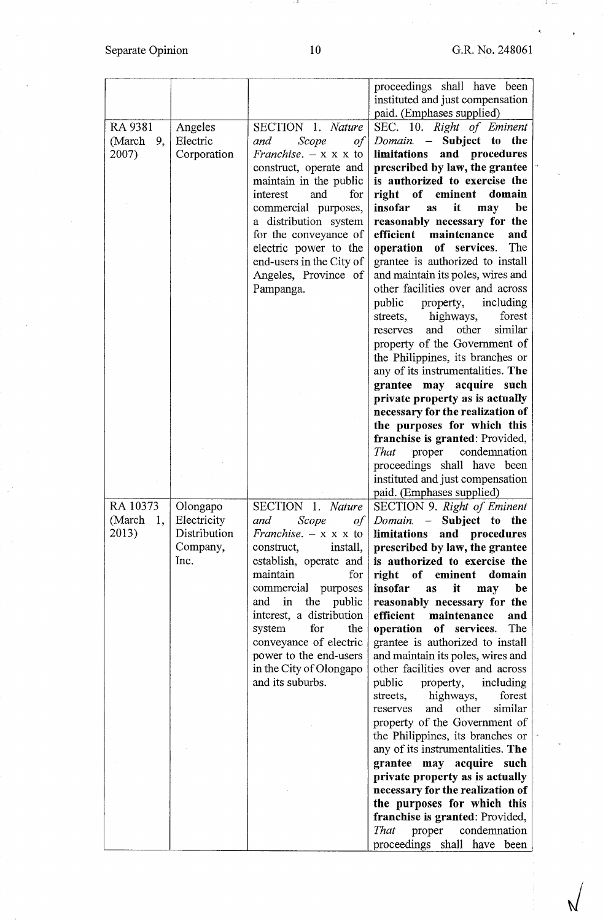. 31

 $\sqrt{ }$ 

|              |              |                                | proceedings shall have been             |
|--------------|--------------|--------------------------------|-----------------------------------------|
|              |              |                                | instituted and just compensation        |
|              |              |                                | paid. (Emphases supplied)               |
| RA 9381      | Angeles      | SECTION 1. Nature              | SEC. 10. Right of Eminent               |
| (March<br>9, | Electric     | Scope<br>and<br>of             | Subject to<br>the<br>Domain. -          |
| 2007)        | Corporation  | <i>Franchise.</i> $- x x x$ to | and procedures<br>limitations           |
|              |              | construct, operate and         | prescribed by law, the grantee          |
|              |              | maintain in the public         | is authorized to exercise the           |
|              |              | interest<br>and<br>for         | right of eminent<br>domain              |
|              |              | commercial purposes,           | insofar<br>it<br>be<br>may<br>as        |
|              |              | a distribution system          | reasonably necessary for the            |
|              |              | for the conveyance of          | maintenance<br>efficient<br>and         |
|              |              | electric power to the          | The<br>operation of services.           |
|              |              | end-users in the City of       | grantee is authorized to install        |
|              |              | Angeles, Province of           | and maintain its poles, wires and       |
|              |              | Pampanga.                      | other facilities over and across        |
|              |              |                                | including<br>public<br>property,        |
|              |              |                                | highways,<br>forest<br>streets,         |
|              |              |                                | and<br>other<br>similar<br>reserves     |
|              |              |                                | property of the Government of           |
|              |              |                                | the Philippines, its branches or        |
|              |              |                                | any of its instrumentalities. The       |
|              |              |                                | grantee may<br>acquire such             |
|              |              |                                | private property as is actually         |
|              |              |                                | necessary for the realization of        |
|              |              |                                | the purposes for which this             |
|              |              |                                | franchise is granted: Provided,         |
|              |              |                                | proper condemnation<br>That             |
|              |              |                                | proceedings shall have been             |
|              |              |                                | instituted and just compensation        |
|              |              |                                | paid. (Emphases supplied)               |
| RA 10373     | Olongapo     | SECTION 1. Nature              | SECTION 9. Right of Eminent             |
| (March<br>1, | Electricity  | and<br>Scope<br>of             | <i>Domain.</i> – Subject to the         |
| 2013)        | Distribution | Franchise. $- x x x$ to        | limitations<br>and procedures           |
|              | Company,     | construct,<br>install,         | prescribed by law, the grantee          |
|              | Inc.         | establish, operate and         | is authorized to exercise the           |
|              |              | maintain<br>for                | right of eminent<br>domain              |
|              |              | commercial purposes            | insofar<br>it<br>be<br><b>as</b><br>may |
|              |              | in<br>the<br>public<br>and     | reasonably necessary for the            |
|              |              | interest, a distribution       | efficient<br>maintenance<br>and         |
|              |              | system<br>for<br>the           | The<br>operation of services.           |
|              |              | conveyance of electric         | grantee is authorized to install        |
|              |              | power to the end-users         | and maintain its poles, wires and       |
|              |              | in the City of Olongapo        | other facilities over and across        |
|              |              | and its suburbs.               | public property, including              |
|              |              |                                | highways,<br>forest<br>streets,         |
|              |              |                                | similar<br>other<br>and<br>reserves     |
|              |              |                                | property of the Government of           |
|              |              |                                | the Philippines, its branches or        |
|              |              |                                | any of its instrumentalities. The       |
|              |              |                                | grantee may acquire such                |
|              |              |                                | private property as is actually         |
|              |              |                                | necessary for the realization of        |
|              |              |                                | the purposes for which this             |
|              |              |                                | franchise is granted: Provided,         |
|              |              |                                | That<br>proper condemnation             |
|              |              |                                | proceedings shall have been             |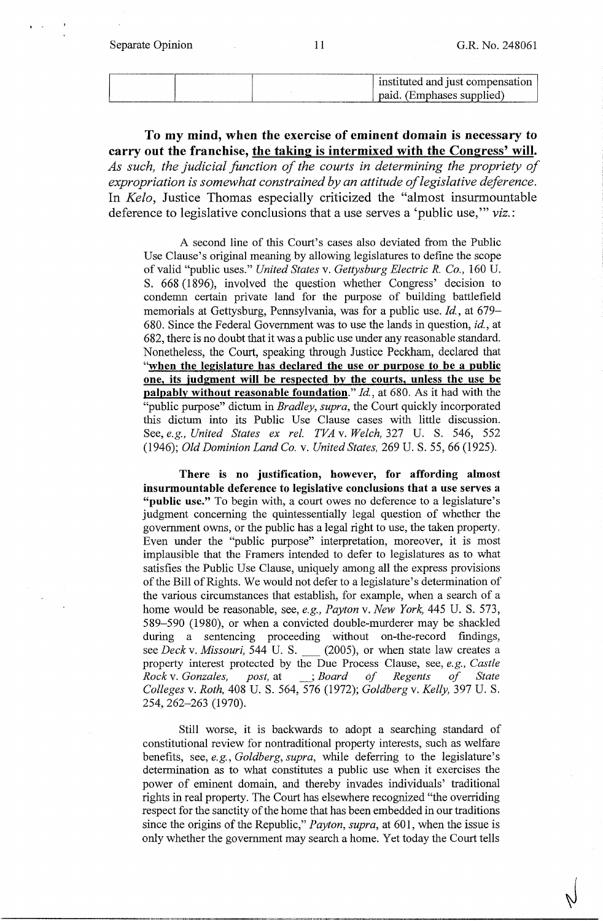Separate Opinion 11 G.R. No. 248061

|  |  | instituted and just compensation |
|--|--|----------------------------------|
|  |  | paid. (Emphases supplied)        |

**To my mind, when the exercise of eminent domain is necessary to carry out the franchise, the taking is intermixed with the Congress' will.**  *As such, the judicial function of the courts in determining the propriety of expropriation is somewhat constrained by an attitude of legislative deference.*  In *Kela,* Justice Thomas especially criticized the "almost insurmountable deference to legislative conclusions that a use serves a 'public use,"' *viz.:* 

A second line of this Court's cases also deviated from the Public Use Clause's original meaning by allowing legislatures to define the scope of valid "public uses." *United States* v. *Gettysburg Electric R. Co.,* 160 U. S. 668 (1896), involved the question whether Congress' decision to condemn certain private land for the purpose of building battlefield memorials at Gettysburg, Pennsylvania, was for a public use. *Id.,* at 679- 680. Since the Federal Government was to use the lands in question, *id.,* at 682, there is no doubt that it was a public use under any reasonable standard. Nonetheless, the Court, speaking through Justice Peckham, declared that **"when the legislature has declared the use or purpose to be a public one, its judgment will be respected by the courts, unless the use be palpably without reasonable foundation."** *Id,* at 680. As it had with the "public purpose" dictum in *Bradley, supra,* the Court quickly incorporated this dictum into its Public Use Clause cases with little discussion. See, *e.g., United States ex rel. TVA* v. *Welch,* 327 U. S. 546, 552 (1946); *Old Dominion Land Co.* v. *United States,* 269 U.S. 55, 66 (1925).

**There is no justification, however, for affording almost insurmountable deference to legislative conclusions that a use serves a "public use."** To begin with, a court owes no deference to a legislature's judgment concerning the quintessentially legal question of whether the government owns, or the public has a legal right to use, the taken property. Even under the "public purpose" interpretation, moreover, it is most implausible that the Framers intended to defer to legislatures as to what satisfies the Public Use Clause, uniquely among all the express provisions of the Bill of Rights. We would not defer to a legislature's determination of the various circumstances that establish, for example, when a search of a home would be reasonable, see, *e.g., Payton* v. *New York,* 445 U. S. 573, 589-590 (1980), or when a convicted double-murderer may be shackled during a sentencing proceeding without on-the-record findings, see *Deck v. Missouri,* 544 U. S. (2005), or when state law creates a property interest protected by the Due Process Clause, see, *e.g., Castle Rock* v. *Gonzales, post,* at \_; *Board of Regents of State Colleges* v. *Roth,* 408 U. S. 564, 576 (1972); *Goldberg* v. *Kelly,* 397 U. S. 254, 262-263 (1970).

Still worse, it is backwards to adopt a searching standard of constitutional review for nontraditional property interests, such as welfare benefits, see, *e.g., Goldberg, supra,* while deferring to the legislature's determination as to what constitutes a public use when it exercises the power of eminent domain, and thereby invades individuals' traditional rights in real property. The Court has elsewhere recognized "the overriding respect for the sanctity of the home that has been embedded in our traditions since the origins of the Republic," *Payton, supra,* at 601, when the issue is only whether the government may search a home. Yet today the Court tells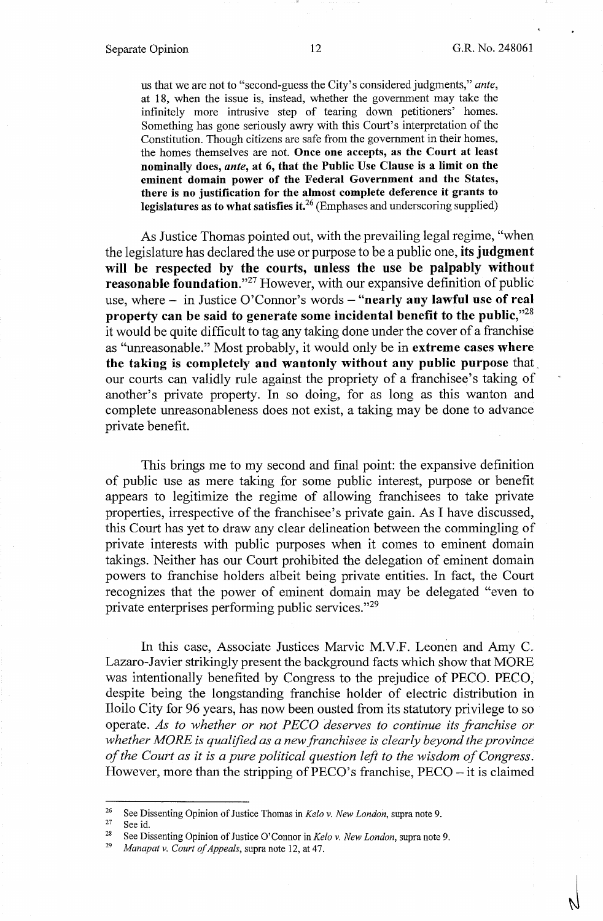$\sqrt{2}$ 

us that we are not to "second-guess the City's considered judgments," *ante,*  at 18, when the issue is, instead, whether the government may take the infinitely more intrusive step of tearing down petitioners' homes. Something has gone seriously awry with this Court's interpretation of the Constitution. Though citizens are safe from the government in their homes, the homes themselves are not. **Once one accepts, as the Court at least nominally does,** *ante,* **at 6, that the Public Use Clause is a limit on the eminent domain power of the Federal Government and the States, there is no justification for the almost complete deference it grants to legislatures as to what satisfies it.26** (Emphases and underscoring supplied)

As Justice Thomas pointed out, with the prevailing legal regime, "when the legislature has declared the use or purpose to be a public one, **its judgment will be respected by the courts, unless the use be palpably without reasonable foundation."<sup>27</sup> However, with our expansive definition of public** use, where - in Justice O'Connor's words - "nearly any lawful use of real **property can be said to generate some incidental benefit to the public,"<sup>28</sup>** it would be quite difficult to tag any taking done under the cover of a franchise as "unreasonable." Most probably, it would only be in **extreme cases where the taking is completely and wantonly without any public purpose** that. our courts can validly rule against the propriety of a franchisee's taking of another's private property. In so doing, for as long as this wanton and complete unreasonableness does not exist, a taking may be done to advance private benefit.

This brings me to my second and final point: the expansive definition of public use as mere taking for some public interest, purpose or benefit appears to legitimize the regime of allowing franchisees to take private properties, irrespective of the franchisee's private gain. As I have discussed, this Court has yet to draw any clear delineation between the commingling of private interests with public purposes when it comes to eminent domain takings. Neither has our Court prohibited the delegation of eminent domain powers to franchise holders albeit being private entities. In fact, the Court recognizes that the power of eminent domain may be delegated "even to private enterprises performing public services."29

In this case, Associate Justices Marvic M.V.F. Leonen and Amy C. Lazaro-Javier strikingly present the background facts which show that MORE was intentionally benefited by Congress to the prejudice of PECO. PECO, despite being the longstanding franchise holder of electric distribution in Iloilo City for 96 years, has now been ousted from its statutory privilege to so operate. *As to whether or not PECO deserves to continue its franchise or whether MORE is qualified as a new franchisee is clearly beyond the province of the Court as it is a pure political question left to the wisdom of Congress.*  However, more than the stripping of PECO's franchise, PECO – it is claimed

<sup>&</sup>lt;sup>26</sup> See Dissenting Opinion of Justice Thomas in *Kelo v. New London*, supra note 9.<br><sup>27</sup> See id.<br><sup>28</sup> See Dissenting Opinion of Justice O'Connor in *Kelo v. New London*, supra note 9.<br>*<sup>29</sup> Manapat v. Court of Appeals*,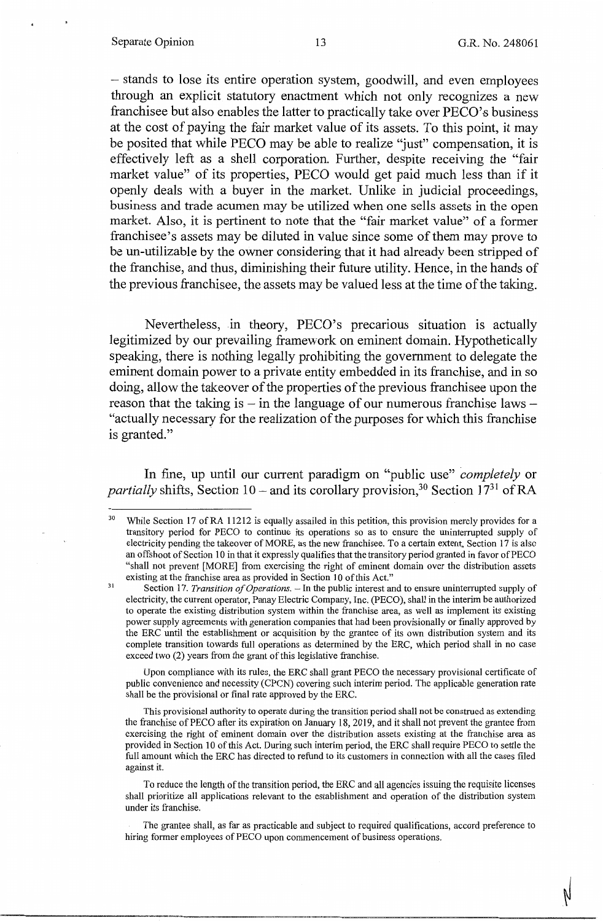#### Separate Opinion 13 G.R. No. 248061

- stands to lose its entire operation system, goodwill, and even employees through an explicit statutory enactment which not only recognizes a new franchisee but also enables the latter to practically take over PECO's business at the cost of paying the fair market value of its assets. To this point, it may be posited that while PECO may be able to realize "just" compensation, it is effectively left as a shell corporation. Further, despite receiving the "fair market value" of its properties, PECO would get paid much less than if it openly deals with a buyer in the market. Unlike in judicial proceedings, business and trade acumen may be utilized when one sells assets in the open market. Also, it is pertinent to note that the "fair market value" of a former franchisee's assets may be diluted in value since some of them may prove to be un-utilizable by the owner considering that it had already been stripped of the franchise, and thus, diminishing their future utility. Hence, in the hands of the previous franchisee, the assets may be valued less at the time of the taking.

Nevertheless, in theory, PECO's precarious situation is actually legitimized by our prevailing framework on eminent domain. Hypothetically speaking, there is nothing legally prohibiting the government to delegate the eminent domain power to a private entity embedded in its franchise, and in so doing, allow the takeover of the properties of the previous franchisee upon the reason that the taking is  $-$  in the language of our numerous franchise laws  $-$ "actually necessary for the realization of the purposes for which this franchise is granted."

In fine, up until our current paradigm on "public use" *completely* or *partially* shifts, Section 10 – and its corollary provision,<sup>30</sup> Section 17<sup>31</sup> of RA

Upon compliance with its rules, the ERC shall grant PECO the necessary provisional certificate of public convenience and necessity (CPCN) covering such interim period. The applicable generation rate shall be the provisional or final rate approved by the ERC.

This provisional authority to operate during the transition period shall not be construed as extending the franchise of PECO after its expiration on January 18, 2019, and it shall not prevent the grantee from exercising the right of eminent domain over the distribution assets existing at the franchise area as provided in Section 10 of this Act. During such interim period, the ERC shall require PECO to settle the full amount which the ERC has directed to refund to its customers in connection with all the cases filed against it.

To reduce the length of the transition period, the ERC and all agencies issuing the requisite licenses shall prioritize all applications relevant to the establishment and operation of the distribution system under its franchise.

The grantee shall, as far as practicable and subject to required qualifications, accord preference to hiring former employees of PECO upon commencement of business operations.

<sup>&</sup>lt;sup>30</sup> While Section 17 of RA 11212 is equally assailed in this petition, this provision merely provides for a transitory period for PECO to continue its operations so as to ensure the uninterrupted supply of electricity pending the takeover of MORE, as the new franchisee. To a certain extent, Section 17 is also an offshoot of Section 10 in that it expressly qualifies that the transitory period granted in favor of PECO "shall not prevent [MORE] from exercising the right of eminent domain over the distribution assets 31 existing at the franchise area as provided in Section IO of this Act."

Section 17. *Transition of Operations*. - In the public interest and to ensure uninterrupted supply of electricity, the current operator, Panay Electric Company, Inc. (PECO), shall in the interim be authorized to operate the existing distribution system within the franchise area, as well as implement its existing power supply agreements with generation companies that had been provisionally or finally approved by the ERC until the establishment or acquisition by the grantee of its own distribution system and its complete transition towards full operations as determined by the ERC, which period shall in no case exceed two (2) years from the grant of this legislative franchise.